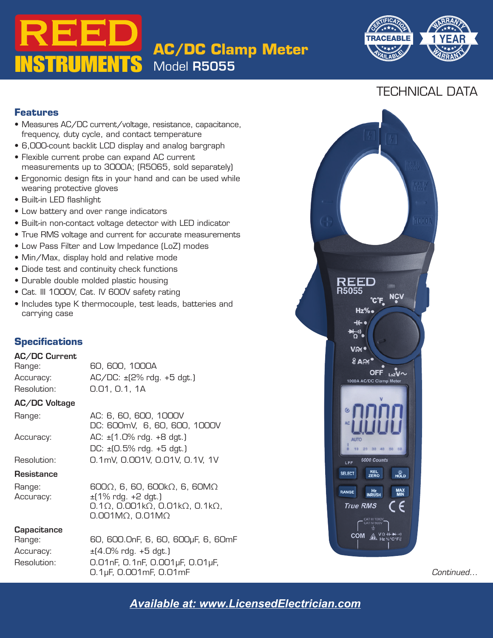# **INSTRUMENTS AC/DC Clamp Meter** Model R5055



## TECHNICAL DATA

### **Features**

- Measures AC/DC current/voltage, resistance, capacitance, frequency, duty cycle, and contact temperature
- requency, duty cycle, and conta<br>• 6,000-count backlit LCD display<br>• Flexible current probe can expar • 6,000-count backlit LCD display and analog bargraph
- Flexible current probe can expand AC current measurements up to 3000A; (R5065, sold separately)
- Ergonomic design fits in your hand and can be used while wearing protective gloves
- Built-in LED flashlight
- Low battery and over range indicators
- Built-in non-contact voltage detector with LED indicator
- True RMS voltage and current for accurate measurements
- Low Pass Filter and Low Impedance (LoZ) modes
- Min/Max, display hold and relative mode
- Diode test and continuity check functions
- Durable double molded plastic housing
- Cat. III 1000V, Cat. IV 600V safety rating
- Includes type K thermocouple, test leads, batteries and carrying case

### **Specifications**

### AC/DC Current

Range: 60, 600, 1000A  $\text{Accuracy:}$   $\text{AC/DC:} \pm [2\% \text{ rdg.} + 5 \text{ dgt.}]$ Resolution: 0.01, 0.1, 1A

### AC/DC Voltage

| Range:      | AC: 6, 60, 600, 1000V                           |  |  |
|-------------|-------------------------------------------------|--|--|
|             | DC: 600mV, 6, 60, 600, 1000V                    |  |  |
| Accuracy:   | $AC: \pm (1.0\% \text{ rdg.} + 8 \text{ dgt.})$ |  |  |
|             | DC: $\pm$ (0.5% rdg. +5 dgt.)                   |  |  |
| Resolution: | 0.1mV, 0.001V, 0.01V, 0.1V, 1V                  |  |  |
|             |                                                 |  |  |

### **Resistance**

| Range:    | $600\Omega$ , 6, 60, 600k $\Omega$ , 6, 60M $\Omega$                      |
|-----------|---------------------------------------------------------------------------|
| Accuracy: | $\pm$ (1% rdg. +2 dgt.)                                                   |
|           | $0.1\Omega$ , $0.001$ k $\Omega$ , $0.01$ k $\Omega$ , $0.1$ k $\Omega$ , |
|           | $0.001M\Omega$ , $0.01M\Omega$                                            |

### **Capacitance**

| Range:      | 60, 600.0nF, 6, 60, 600µF, 6, 60mF                 | COM $A$ <sub>Hz</sub> % C°F8 |
|-------------|----------------------------------------------------|------------------------------|
| Accuracy:   | ±(4.0% rdg. +5 dgt.)                               |                              |
| Resolution: | 0.01nF, 0.1nF, 0.001µF, 0.01µF,                    |                              |
|             | $0.1 \mu F$ , $0.001 \text{m}F$ , $0.01 \text{m}F$ | Continued…                   |



**REED Instruments** *Available at: www.LicensedElectrician.com*